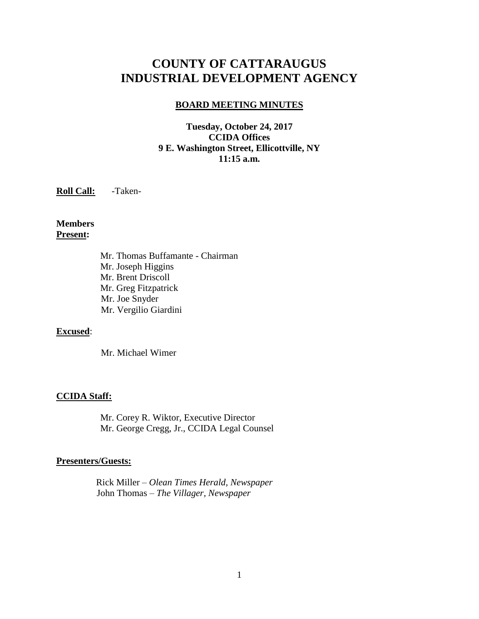# **COUNTY OF CATTARAUGUS INDUSTRIAL DEVELOPMENT AGENCY**

## **BOARD MEETING MINUTES**

## **Tuesday, October 24, 2017 CCIDA Offices 9 E. Washington Street, Ellicottville, NY 11:15 a.m.**

**Roll Call:** -Taken-

**Members Present:**

> Mr. Thomas Buffamante - Chairman Mr. Joseph Higgins Mr. Brent Driscoll Mr. Greg Fitzpatrick Mr. Joe Snyder Mr. Vergilio Giardini

### **Excused**:

Mr. Michael Wimer

#### **CCIDA Staff:**

Mr. Corey R. Wiktor, Executive Director Mr. George Cregg, Jr., CCIDA Legal Counsel

### **Presenters/Guests:**

 Rick Miller – *Olean Times Herald, Newspaper* John Thomas – *The Villager, Newspaper*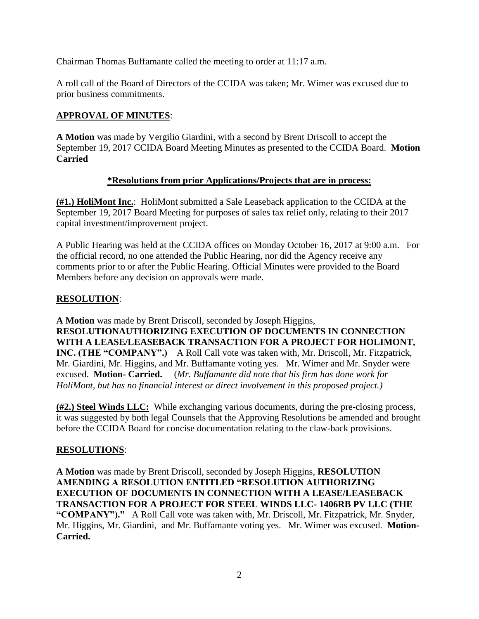Chairman Thomas Buffamante called the meeting to order at 11:17 a.m.

A roll call of the Board of Directors of the CCIDA was taken; Mr. Wimer was excused due to prior business commitments.

# **APPROVAL OF MINUTES**:

**A Motion** was made by Vergilio Giardini, with a second by Brent Driscoll to accept the September 19, 2017 CCIDA Board Meeting Minutes as presented to the CCIDA Board. **Motion Carried**

# **\*Resolutions from prior Applications/Projects that are in process:**

**(#1.) HoliMont Inc.**: HoliMont submitted a Sale Leaseback application to the CCIDA at the September 19, 2017 Board Meeting for purposes of sales tax relief only, relating to their 2017 capital investment/improvement project.

A Public Hearing was held at the CCIDA offices on Monday October 16, 2017 at 9:00 a.m. For the official record, no one attended the Public Hearing, nor did the Agency receive any comments prior to or after the Public Hearing. Official Minutes were provided to the Board Members before any decision on approvals were made.

# **RESOLUTION**:

**A Motion** was made by Brent Driscoll, seconded by Joseph Higgins, **RESOLUTIONAUTHORIZING EXECUTION OF DOCUMENTS IN CONNECTION WITH A LEASE/LEASEBACK TRANSACTION FOR A PROJECT FOR HOLIMONT, INC. (THE "COMPANY".)** A Roll Call vote was taken with, Mr. Driscoll, Mr. Fitzpatrick, Mr. Giardini, Mr. Higgins, and Mr. Buffamante voting yes. Mr. Wimer and Mr. Snyder were excused. **Motion- Carried.** (*Mr. Buffamante did note that his firm has done work for HoliMont, but has no financial interest or direct involvement in this proposed project.)*

**(#2.) Steel Winds LLC:** While exchanging various documents, during the pre-closing process, it was suggested by both legal Counsels that the Approving Resolutions be amended and brought before the CCIDA Board for concise documentation relating to the claw-back provisions.

# **RESOLUTIONS**:

**A Motion** was made by Brent Driscoll, seconded by Joseph Higgins, **RESOLUTION AMENDING A RESOLUTION ENTITLED "RESOLUTION AUTHORIZING EXECUTION OF DOCUMENTS IN CONNECTION WITH A LEASE/LEASEBACK TRANSACTION FOR A PROJECT FOR STEEL WINDS LLC- 1406RB PV LLC (THE "COMPANY")."** A Roll Call vote was taken with, Mr. Driscoll, Mr. Fitzpatrick, Mr. Snyder, Mr. Higgins, Mr. Giardini, and Mr. Buffamante voting yes. Mr. Wimer was excused. **Motion-Carried.**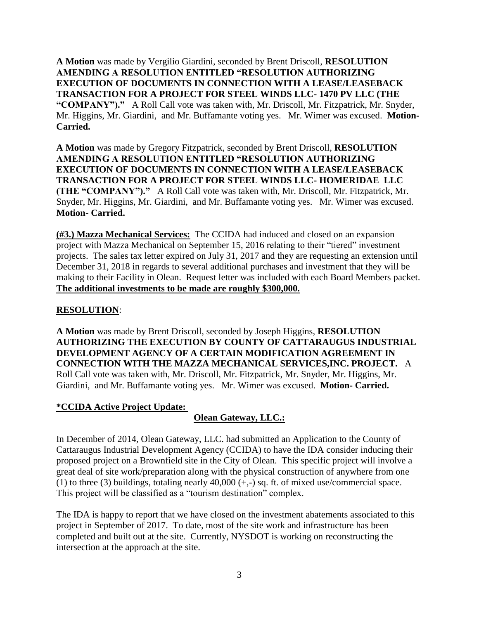**A Motion** was made by Vergilio Giardini, seconded by Brent Driscoll, **RESOLUTION AMENDING A RESOLUTION ENTITLED "RESOLUTION AUTHORIZING EXECUTION OF DOCUMENTS IN CONNECTION WITH A LEASE/LEASEBACK TRANSACTION FOR A PROJECT FOR STEEL WINDS LLC- 1470 PV LLC (THE "COMPANY")."** A Roll Call vote was taken with, Mr. Driscoll, Mr. Fitzpatrick, Mr. Snyder, Mr. Higgins, Mr. Giardini, and Mr. Buffamante voting yes. Mr. Wimer was excused. **Motion-Carried.**

**A Motion** was made by Gregory Fitzpatrick, seconded by Brent Driscoll, **RESOLUTION AMENDING A RESOLUTION ENTITLED "RESOLUTION AUTHORIZING EXECUTION OF DOCUMENTS IN CONNECTION WITH A LEASE/LEASEBACK TRANSACTION FOR A PROJECT FOR STEEL WINDS LLC- HOMERIDAE LLC (THE "COMPANY")."** A Roll Call vote was taken with, Mr. Driscoll, Mr. Fitzpatrick, Mr. Snyder, Mr. Higgins, Mr. Giardini, and Mr. Buffamante voting yes. Mr. Wimer was excused. **Motion- Carried.**

**(#3.) Mazza Mechanical Services:** The CCIDA had induced and closed on an expansion project with Mazza Mechanical on September 15, 2016 relating to their "tiered" investment projects. The sales tax letter expired on July 31, 2017 and they are requesting an extension until December 31, 2018 in regards to several additional purchases and investment that they will be making to their Facility in Olean. Request letter was included with each Board Members packet. **The additional investments to be made are roughly \$300,000.**

# **RESOLUTION**:

**A Motion** was made by Brent Driscoll, seconded by Joseph Higgins, **RESOLUTION AUTHORIZING THE EXECUTION BY COUNTY OF CATTARAUGUS INDUSTRIAL DEVELOPMENT AGENCY OF A CERTAIN MODIFICATION AGREEMENT IN CONNECTION WITH THE MAZZA MECHANICAL SERVICES,INC. PROJECT.** A Roll Call vote was taken with, Mr. Driscoll, Mr. Fitzpatrick, Mr. Snyder, Mr. Higgins, Mr. Giardini, and Mr. Buffamante voting yes. Mr. Wimer was excused. **Motion- Carried.**

### **\*CCIDA Active Project Update:**

# **Olean Gateway, LLC.:**

In December of 2014, Olean Gateway, LLC. had submitted an Application to the County of Cattaraugus Industrial Development Agency (CCIDA) to have the IDA consider inducing their proposed project on a Brownfield site in the City of Olean. This specific project will involve a great deal of site work/preparation along with the physical construction of anywhere from one (1) to three (3) buildings, totaling nearly  $40,000 (+, -)$  sq. ft. of mixed use/commercial space. This project will be classified as a "tourism destination" complex.

The IDA is happy to report that we have closed on the investment abatements associated to this project in September of 2017. To date, most of the site work and infrastructure has been completed and built out at the site. Currently, NYSDOT is working on reconstructing the intersection at the approach at the site.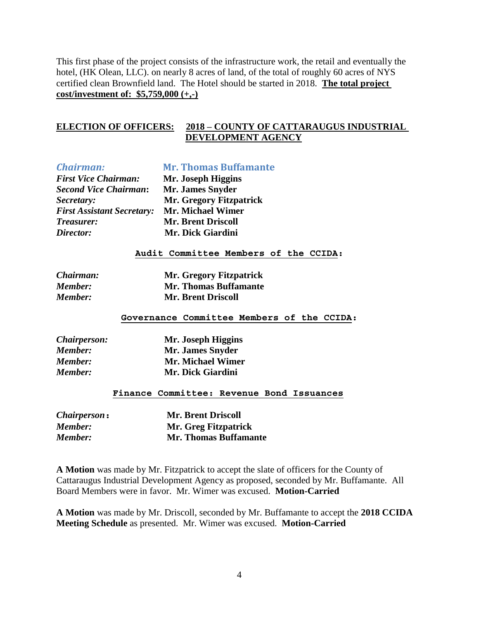This first phase of the project consists of the infrastructure work, the retail and eventually the hotel, (HK Olean, LLC). on nearly 8 acres of land, of the total of roughly 60 acres of NYS certified clean Brownfield land. The Hotel should be started in 2018. **The total project cost/investment of: \$5,759,000 (+,-)**

# **ELECTION OF OFFICERS: 2018 – COUNTY OF CATTARAUGUS INDUSTRIAL DEVELOPMENT AGENCY**

| <b>Chairman:</b>                  | <b>Mr. Thomas Buffamante</b>          |
|-----------------------------------|---------------------------------------|
| <b>First Vice Chairman:</b>       | Mr. Joseph Higgins                    |
| <b>Second Vice Chairman:</b>      | Mr. James Snyder                      |
| Secretary:                        | Mr. Gregory Fitzpatrick               |
| <b>First Assistant Secretary:</b> | <b>Mr. Michael Wimer</b>              |
| <i>Treasurer:</i>                 | <b>Mr. Brent Driscoll</b>             |
| Director:                         | Mr. Dick Giardini                     |
|                                   | Audit Committee Members of the CCIDA: |
|                                   |                                       |

| Chairman:      | <b>Mr. Gregory Fitzpatrick</b> |
|----------------|--------------------------------|
| <b>Member:</b> | <b>Mr. Thomas Buffamante</b>   |
| <b>Member:</b> | <b>Mr. Brent Driscoll</b>      |

#### **Governance Committee Members of the CCIDA:**

| <i>Chairperson:</i> | Mr. Joseph Higgins |
|---------------------|--------------------|
| <b>Member:</b>      | Mr. James Snyder   |
| <b>Member:</b>      | Mr. Michael Wimer  |
| <b>Member:</b>      | Mr. Dick Giardini  |

#### **Finance Committee: Revenue Bond Issuances**

| <i>Chairperson</i> : | <b>Mr. Brent Driscoll</b>    |
|----------------------|------------------------------|
| Member:              | <b>Mr. Greg Fitzpatrick</b>  |
| <b>Member:</b>       | <b>Mr. Thomas Buffamante</b> |

**A Motion** was made by Mr. Fitzpatrick to accept the slate of officers for the County of Cattaraugus Industrial Development Agency as proposed, seconded by Mr. Buffamante. All Board Members were in favor. Mr. Wimer was excused. **Motion-Carried**

**A Motion** was made by Mr. Driscoll, seconded by Mr. Buffamante to accept the **2018 CCIDA Meeting Schedule** as presented. Mr. Wimer was excused. **Motion-Carried**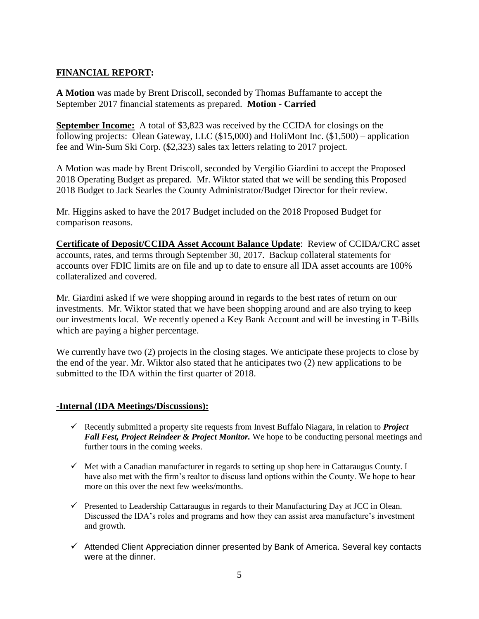# **FINANCIAL REPORT:**

**A Motion** was made by Brent Driscoll, seconded by Thomas Buffamante to accept the September 2017 financial statements as prepared. **Motion - Carried**

**September Income:** A total of \$3,823 was received by the CCIDA for closings on the following projects: Olean Gateway, LLC (\$15,000) and HoliMont Inc. (\$1,500) – application fee and Win-Sum Ski Corp. (\$2,323) sales tax letters relating to 2017 project.

A Motion was made by Brent Driscoll, seconded by Vergilio Giardini to accept the Proposed 2018 Operating Budget as prepared. Mr. Wiktor stated that we will be sending this Proposed 2018 Budget to Jack Searles the County Administrator/Budget Director for their review.

Mr. Higgins asked to have the 2017 Budget included on the 2018 Proposed Budget for comparison reasons.

**Certificate of Deposit/CCIDA Asset Account Balance Update**: Review of CCIDA/CRC asset accounts, rates, and terms through September 30, 2017. Backup collateral statements for accounts over FDIC limits are on file and up to date to ensure all IDA asset accounts are 100% collateralized and covered.

Mr. Giardini asked if we were shopping around in regards to the best rates of return on our investments. Mr. Wiktor stated that we have been shopping around and are also trying to keep our investments local. We recently opened a Key Bank Account and will be investing in T-Bills which are paying a higher percentage.

We currently have two (2) projects in the closing stages. We anticipate these projects to close by the end of the year. Mr. Wiktor also stated that he anticipates two (2) new applications to be submitted to the IDA within the first quarter of 2018.

# **-Internal (IDA Meetings/Discussions):**

- Recently submitted a property site requests from Invest Buffalo Niagara, in relation to *Project Fall Fest, Project Reindeer & Project Monitor.* We hope to be conducting personal meetings and further tours in the coming weeks.
- $\checkmark$  Met with a Canadian manufacturer in regards to setting up shop here in Cattaraugus County. I have also met with the firm's realtor to discuss land options within the County. We hope to hear more on this over the next few weeks/months.
- $\checkmark$  Presented to Leadership Cattaraugus in regards to their Manufacturing Day at JCC in Olean. Discussed the IDA's roles and programs and how they can assist area manufacture's investment and growth.
- $\checkmark$  Attended Client Appreciation dinner presented by Bank of America. Several key contacts were at the dinner.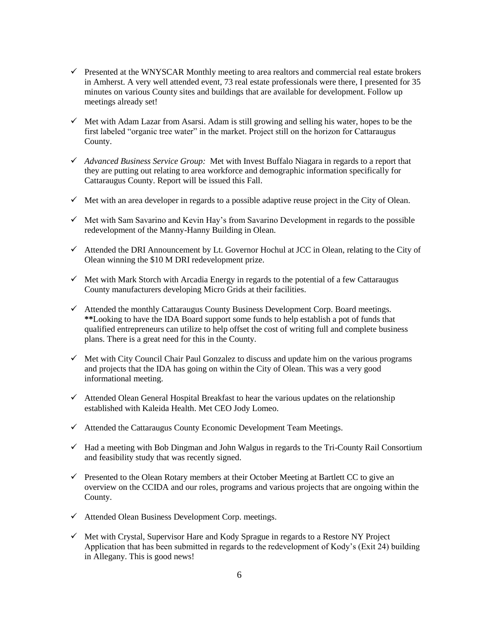- $\checkmark$  Presented at the WNYSCAR Monthly meeting to area realtors and commercial real estate brokers in Amherst. A very well attended event, 73 real estate professionals were there, I presented for 35 minutes on various County sites and buildings that are available for development. Follow up meetings already set!
- $\checkmark$  Met with Adam Lazar from Asarsi. Adam is still growing and selling his water, hopes to be the first labeled "organic tree water" in the market. Project still on the horizon for Cattaraugus County.
- *Advanced Business Service Group:* Met with Invest Buffalo Niagara in regards to a report that they are putting out relating to area workforce and demographic information specifically for Cattaraugus County. Report will be issued this Fall.
- $\checkmark$  Met with an area developer in regards to a possible adaptive reuse project in the City of Olean.
- $\checkmark$  Met with Sam Savarino and Kevin Hay's from Savarino Development in regards to the possible redevelopment of the Manny-Hanny Building in Olean.
- $\checkmark$  Attended the DRI Announcement by Lt. Governor Hochul at JCC in Olean, relating to the City of Olean winning the \$10 M DRI redevelopment prize.
- $\checkmark$  Met with Mark Storch with Arcadia Energy in regards to the potential of a few Cattaraugus County manufacturers developing Micro Grids at their facilities.
- $\checkmark$  Attended the monthly Cattaraugus County Business Development Corp. Board meetings. **\*\***Looking to have the IDA Board support some funds to help establish a pot of funds that qualified entrepreneurs can utilize to help offset the cost of writing full and complete business plans. There is a great need for this in the County.
- $\checkmark$  Met with City Council Chair Paul Gonzalez to discuss and update him on the various programs and projects that the IDA has going on within the City of Olean. This was a very good informational meeting.
- $\checkmark$  Attended Olean General Hospital Breakfast to hear the various updates on the relationship established with Kaleida Health. Met CEO Jody Lomeo.
- $\checkmark$  Attended the Cattaraugus County Economic Development Team Meetings.
- $\checkmark$  Had a meeting with Bob Dingman and John Walgus in regards to the Tri-County Rail Consortium and feasibility study that was recently signed.
- $\checkmark$  Presented to the Olean Rotary members at their October Meeting at Bartlett CC to give an overview on the CCIDA and our roles, programs and various projects that are ongoing within the County.
- $\checkmark$  Attended Olean Business Development Corp. meetings.
- $\checkmark$  Met with Crystal, Supervisor Hare and Kody Sprague in regards to a Restore NY Project Application that has been submitted in regards to the redevelopment of Kody's (Exit 24) building in Allegany. This is good news!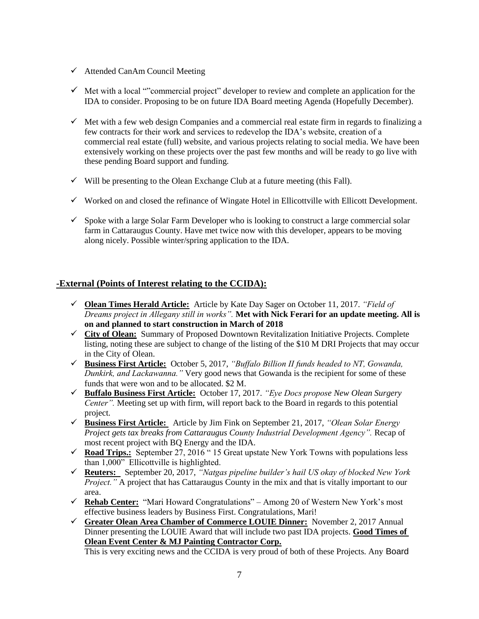- $\checkmark$  Attended CanAm Council Meeting
- $\checkmark$  Met with a local ""commercial project" developer to review and complete an application for the IDA to consider. Proposing to be on future IDA Board meeting Agenda (Hopefully December).
- $\checkmark$  Met with a few web design Companies and a commercial real estate firm in regards to finalizing a few contracts for their work and services to redevelop the IDA's website, creation of a commercial real estate (full) website, and various projects relating to social media. We have been extensively working on these projects over the past few months and will be ready to go live with these pending Board support and funding.
- $\checkmark$  Will be presenting to the Olean Exchange Club at a future meeting (this Fall).
- $\checkmark$  Worked on and closed the refinance of Wingate Hotel in Ellicottville with Ellicott Development.
- $\checkmark$  Spoke with a large Solar Farm Developer who is looking to construct a large commercial solar farm in Cattaraugus County. Have met twice now with this developer, appears to be moving along nicely. Possible winter/spring application to the IDA.

## **-External (Points of Interest relating to the CCIDA):**

- **Olean Times Herald Article:** Article by Kate Day Sager on October 11, 2017. *"Field of Dreams project in Allegany still in works".* **Met with Nick Ferari for an update meeting. All is on and planned to start construction in March of 2018**
- **City of Olean:** Summary of Proposed Downtown Revitalization Initiative Projects. Complete listing, noting these are subject to change of the listing of the \$10 M DRI Projects that may occur in the City of Olean.
- **Business First Article:** October 5, 2017, *"Buffalo Billion II funds headed to NT, Gowanda, Dunkirk, and Lackawanna."* Very good news that Gowanda is the recipient for some of these funds that were won and to be allocated. \$2 M.
- **Buffalo Business First Article:** October 17, 2017. *"Eye Docs propose New Olean Surgery Center".* Meeting set up with firm, will report back to the Board in regards to this potential project.
- **Business First Article:** Article by Jim Fink on September 21, 2017, *"Olean Solar Energy Project gets tax breaks from Cattaraugus County Industrial Development Agency".* Recap of most recent project with BQ Energy and the IDA.
- **Road Trips.:** September 27, 2016 " 15 Great upstate New York Towns with populations less than 1,000" Ellicottville is highlighted.
- **Reuters:** September 20, 2017, *"Natgas pipeline builder's hail US okay of blocked New York Project.*" A project that has Cattaraugus County in the mix and that is vitally important to our area.
- **Rehab Center:** "Mari Howard Congratulations" Among 20 of Western New York's most effective business leaders by Business First. Congratulations, Mari!
- **Greater Olean Area Chamber of Commerce LOUIE Dinner:**November 2, 2017 Annual Dinner presenting the LOUIE Award that will include two past IDA projects. **Good Times of Olean Event Center & MJ Painting Contractor Corp.**

This is very exciting news and the CCIDA is very proud of both of these Projects. Any Board